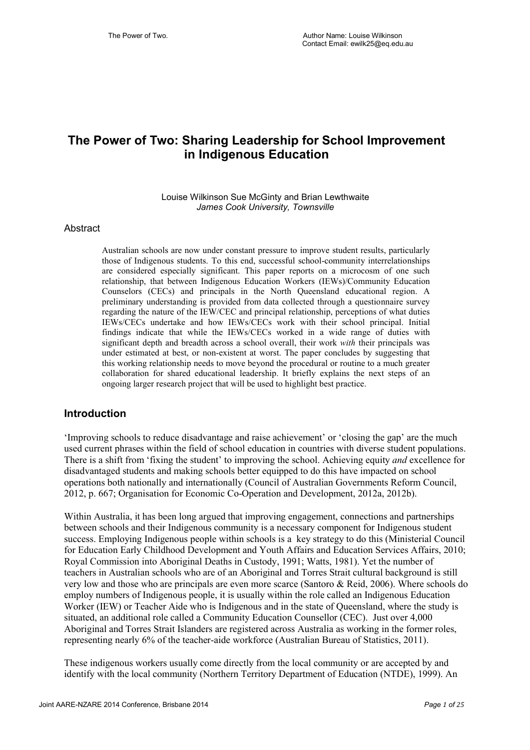## **The Power of Two: Sharing Leadership for School Improvement in Indigenous Education**

Louise Wilkinson Sue McGinty and Brian Lewthwaite *James Cook University, Townsville*

#### Abstract

Australian schools are now under constant pressure to improve student results, particularly those of Indigenous students. To this end, successful school-community interrelationships are considered especially significant. This paper reports on a microcosm of one such relationship, that between Indigenous Education Workers (IEWs)/Community Education Counselors (CECs) and principals in the North Queensland educational region. A preliminary understanding is provided from data collected through a questionnaire survey regarding the nature of the IEW/CEC and principal relationship, perceptions of what duties IEWs/CECs undertake and how IEWs/CECs work with their school principal. Initial findings indicate that while the IEWs/CECs worked in a wide range of duties with significant depth and breadth across a school overall, their work *with* their principals was under estimated at best, or non-existent at worst. The paper concludes by suggesting that this working relationship needs to move beyond the procedural or routine to a much greater collaboration for shared educational leadership. It briefly explains the next steps of an ongoing larger research project that will be used to highlight best practice.

### **Introduction**

'Improving schools to reduce disadvantage and raise achievement' or 'closing the gap' are the much used current phrases within the field of school education in countries with diverse student populations. There is a shift from 'fixing the student' to improving the school. Achieving equity *and* excellence for disadvantaged students and making schools better equipped to do this have impacted on school operations both nationally and internationally (Council of Australian Governments Reform Council, 2012, p. 667; Organisation for Economic Co-Operation and Development, 2012a, 2012b).

Within Australia, it has been long argued that improving engagement, connections and partnerships between schools and their Indigenous community is a necessary component for Indigenous student success. Employing Indigenous people within schools is a key strategy to do this (Ministerial Council for Education Early Childhood Development and Youth Affairs and Education Services Affairs, 2010; Royal Commission into Aboriginal Deaths in Custody, 1991; Watts, 1981). Yet the number of teachers in Australian schools who are of an Aboriginal and Torres Strait cultural background is still very low and those who are principals are even more scarce (Santoro & Reid, 2006). Where schools do employ numbers of Indigenous people, it is usually within the role called an Indigenous Education Worker (IEW) or Teacher Aide who is Indigenous and in the state of Queensland, where the study is situated, an additional role called a Community Education Counsellor (CEC). Just over 4,000 Aboriginal and Torres Strait Islanders are registered across Australia as working in the former roles, representing nearly 6% of the teacher-aide workforce (Australian Bureau of Statistics, 2011).

These indigenous workers usually come directly from the local community or are accepted by and identify with the local community (Northern Territory Department of Education (NTDE), 1999). An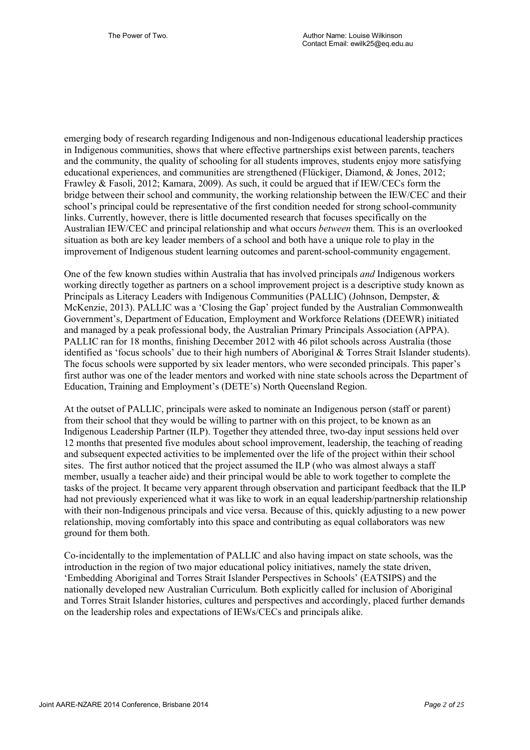emerging body of research regarding Indigenous and non-Indigenous educational leadership practices in Indigenous communities, shows that where effective partnerships exist between parents, teachers and the community, the quality of schooling for all students improves, students enjoy more satisfying educational experiences, and communities are strengthened (Flückiger, Diamond, & Jones, 2012; Frawley & Fasoli, 2012; Kamara, 2009). As such, it could be argued that if IEW/CECs form the bridge between their school and community, the working relationship between the IEW/CEC and their school's principal could be representative of the first condition needed for strong school-community links. Currently, however, there is little documented research that focuses specifically on the Australian IEW/CEC and principal relationship and what occurs *between* them. This is an overlooked situation as both are key leader members of a school and both have a unique role to play in the improvement of Indigenous student learning outcomes and parent-school-community engagement.

One of the few known studies within Australia that has involved principals *and* Indigenous workers working directly together as partners on a school improvement project is a descriptive study known as Principals as Literacy Leaders with Indigenous Communities (PALLIC) (Johnson, Dempster, & McKenzie, 2013). PALLIC was a 'Closing the Gap' project funded by the Australian Commonwealth Government's, Department of Education, Employment and Workforce Relations (DEEWR) initiated and managed by a peak professional body, the Australian Primary Principals Association (APPA). PALLIC ran for 18 months, finishing December 2012 with 46 pilot schools across Australia (those identified as 'focus schools' due to their high numbers of Aboriginal & Torres Strait Islander students). The focus schools were supported by six leader mentors, who were seconded principals. This paper's first author was one of the leader mentors and worked with nine state schools across the Department of Education, Training and Employment's (DETE's) North Queensland Region.

At the outset of PALLIC, principals were asked to nominate an Indigenous person (staff or parent) from their school that they would be willing to partner with on this project, to be known as an Indigenous Leadership Partner (ILP). Together they attended three, two-day input sessions held over 12 months that presented five modules about school improvement, leadership, the teaching of reading and subsequent expected activities to be implemented over the life of the project within their school sites. The first author noticed that the project assumed the ILP (who was almost always a staff member, usually a teacher aide) and their principal would be able to work together to complete the tasks of the project. It became very apparent through observation and participant feedback that the ILP had not previously experienced what it was like to work in an equal leadership/partnership relationship with their non-Indigenous principals and vice versa. Because of this, quickly adjusting to a new power relationship, moving comfortably into this space and contributing as equal collaborators was new ground for them both.

Co-incidentally to the implementation of PALLIC and also having impact on state schools, was the introduction in the region of two major educational policy initiatives, namely the state driven, 'Embedding Aboriginal and Torres Strait Islander Perspectives in Schools' (EATSIPS) and the nationally developed new Australian Curriculum. Both explicitly called for inclusion of Aboriginal and Torres Strait Islander histories, cultures and perspectives and accordingly, placed further demands on the leadership roles and expectations of IEWs/CECs and principals alike.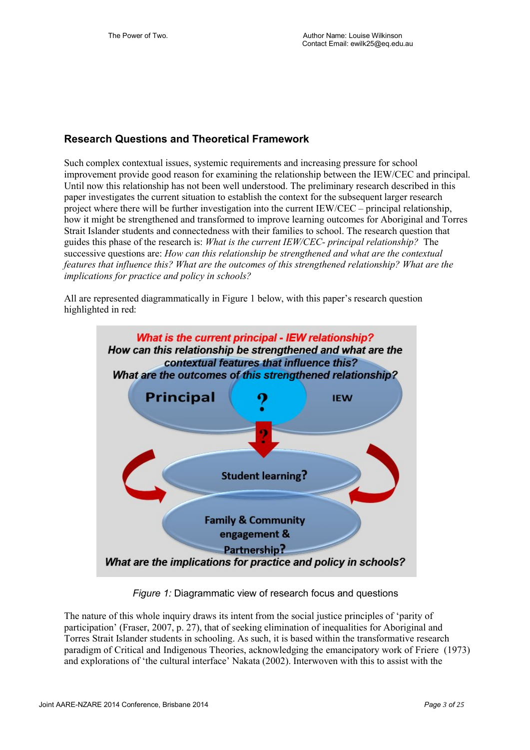## **Research Questions and Theoretical Framework**

Such complex contextual issues, systemic requirements and increasing pressure for school improvement provide good reason for examining the relationship between the IEW/CEC and principal. Until now this relationship has not been well understood. The preliminary research described in this paper investigates the current situation to establish the context for the subsequent larger research project where there will be further investigation into the current IEW/CEC – principal relationship, how it might be strengthened and transformed to improve learning outcomes for Aboriginal and Torres Strait Islander students and connectedness with their families to school. The research question that guides this phase of the research is: *What is the current IEW/CEC- principal relationship?* The successive questions are: *How can this relationship be strengthened and what are the contextual features that influence this? What are the outcomes of this strengthened relationship? What are the implications for practice and policy in schools?* 

All are represented diagrammatically in Figure 1 below, with this paper's research question highlighted in red:



*Figure 1:* Diagrammatic view of research focus and questions

The nature of this whole inquiry draws its intent from the social justice principles of 'parity of participation' (Fraser, 2007, p. 27), that of seeking elimination of inequalities for Aboriginal and Torres Strait Islander students in schooling. As such, it is based within the transformative research paradigm of Critical and Indigenous Theories, acknowledging the emancipatory work of Friere (1973) and explorations of 'the cultural interface' Nakata (2002). Interwoven with this to assist with the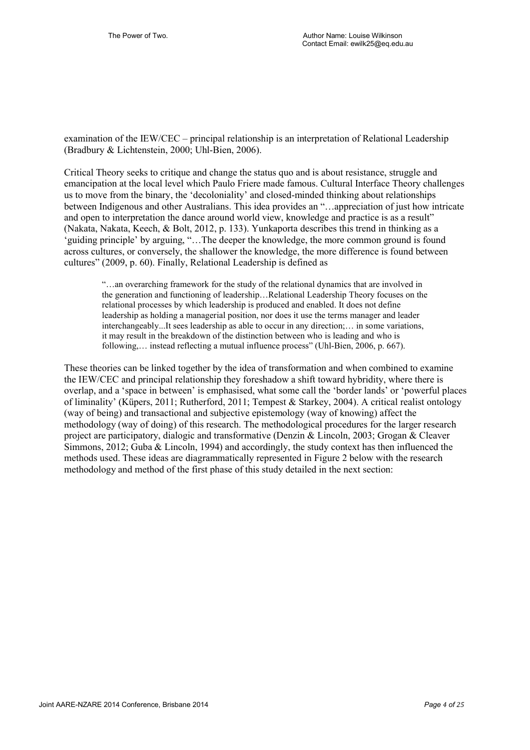examination of the IEW/CEC – principal relationship is an interpretation of Relational Leadership (Bradbury & Lichtenstein, 2000; Uhl-Bien, 2006).

Critical Theory seeks to critique and change the status quo and is about resistance, struggle and emancipation at the local level which Paulo Friere made famous. Cultural Interface Theory challenges us to move from the binary, the 'decoloniality' and closed-minded thinking about relationships between Indigenous and other Australians. This idea provides an "…appreciation of just how intricate and open to interpretation the dance around world view, knowledge and practice is as a result" (Nakata, Nakata, Keech, & Bolt, 2012, p. 133). Yunkaporta describes this trend in thinking as a 'guiding principle' by arguing, "…The deeper the knowledge, the more common ground is found across cultures, or conversely, the shallower the knowledge, the more difference is found between cultures" (2009, p. 60). Finally, Relational Leadership is defined as

"…an overarching framework for the study of the relational dynamics that are involved in the generation and functioning of leadership…Relational Leadership Theory focuses on the relational processes by which leadership is produced and enabled. It does not define leadership as holding a managerial position, nor does it use the terms manager and leader interchangeably...It sees leadership as able to occur in any direction;… in some variations, it may result in the breakdown of the distinction between who is leading and who is following,… instead reflecting a mutual influence process" (Uhl-Bien, 2006, p. 667).

These theories can be linked together by the idea of transformation and when combined to examine the IEW/CEC and principal relationship they foreshadow a shift toward hybridity, where there is overlap, and a 'space in between' is emphasised, what some call the 'border lands' or 'powerful places of liminality' (Küpers, 2011; Rutherford, 2011; Tempest & Starkey, 2004). A critical realist ontology (way of being) and transactional and subjective epistemology (way of knowing) affect the methodology (way of doing) of this research. The methodological procedures for the larger research project are participatory, dialogic and transformative (Denzin & Lincoln, 2003; Grogan & Cleaver Simmons, 2012; Guba & Lincoln, 1994) and accordingly, the study context has then influenced the methods used. These ideas are diagrammatically represented in Figure 2 below with the research methodology and method of the first phase of this study detailed in the next section: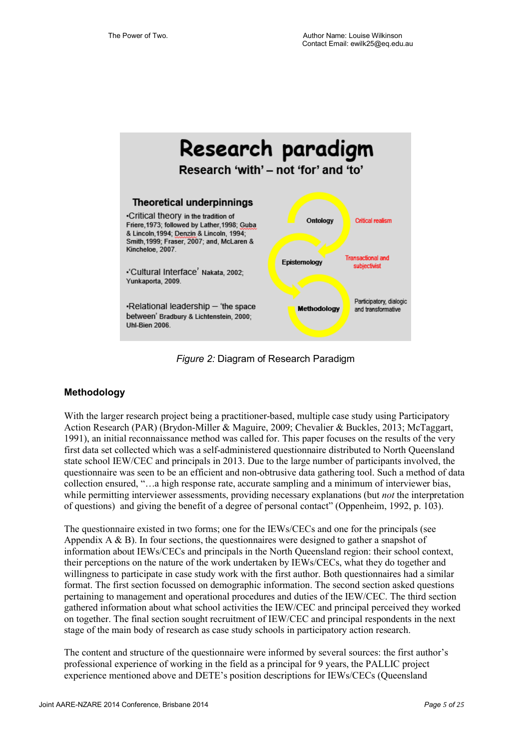

*Figure 2:* Diagram of Research Paradigm

## **Methodology**

With the larger research project being a practitioner-based, multiple case study using Participatory Action Research (PAR) (Brydon-Miller & Maguire, 2009; Chevalier & Buckles, 2013; McTaggart, 1991), an initial reconnaissance method was called for. This paper focuses on the results of the very first data set collected which was a self-administered questionnaire distributed to North Queensland state school IEW/CEC and principals in 2013. Due to the large number of participants involved, the questionnaire was seen to be an efficient and non-obtrusive data gathering tool. Such a method of data collection ensured, "…a high response rate, accurate sampling and a minimum of interviewer bias, while permitting interviewer assessments, providing necessary explanations (but *not* the interpretation of questions) and giving the benefit of a degree of personal contact" (Oppenheim, 1992, p. 103).

The questionnaire existed in two forms; one for the IEWs/CECs and one for the principals (see Appendix  $A \& B$ ). In four sections, the questionnaires were designed to gather a snapshot of information about IEWs/CECs and principals in the North Queensland region: their school context, their perceptions on the nature of the work undertaken by IEWs/CECs, what they do together and willingness to participate in case study work with the first author. Both questionnaires had a similar format. The first section focussed on demographic information. The second section asked questions pertaining to management and operational procedures and duties of the IEW/CEC. The third section gathered information about what school activities the IEW/CEC and principal perceived they worked on together. The final section sought recruitment of IEW/CEC and principal respondents in the next stage of the main body of research as case study schools in participatory action research.

The content and structure of the questionnaire were informed by several sources: the first author's professional experience of working in the field as a principal for 9 years, the PALLIC project experience mentioned above and DETE's position descriptions for IEWs/CECs (Queensland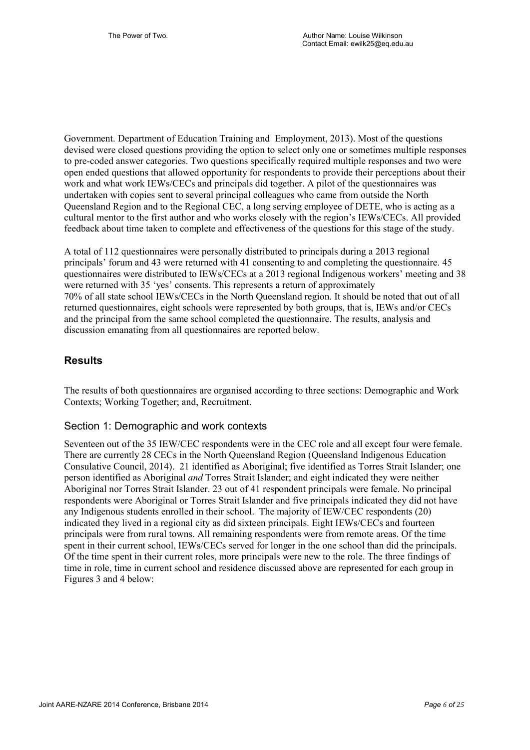Government. Department of Education Training and Employment, 2013). Most of the questions devised were closed questions providing the option to select only one or sometimes multiple responses to pre-coded answer categories. Two questions specifically required multiple responses and two were open ended questions that allowed opportunity for respondents to provide their perceptions about their work and what work IEWs/CECs and principals did together. A pilot of the questionnaires was undertaken with copies sent to several principal colleagues who came from outside the North Queensland Region and to the Regional CEC, a long serving employee of DETE, who is acting as a cultural mentor to the first author and who works closely with the region's IEWs/CECs. All provided feedback about time taken to complete and effectiveness of the questions for this stage of the study.

A total of 112 questionnaires were personally distributed to principals during a 2013 regional principals' forum and 43 were returned with 41 consenting to and completing the questionnaire. 45 questionnaires were distributed to IEWs/CECs at a 2013 regional Indigenous workers' meeting and 38 were returned with 35 'yes' consents. This represents a return of approximately 70% of all state school IEWs/CECs in the North Queensland region. It should be noted that out of all returned questionnaires, eight schools were represented by both groups, that is, IEWs and/or CECs and the principal from the same school completed the questionnaire. The results, analysis and discussion emanating from all questionnaires are reported below.

## **Results**

The results of both questionnaires are organised according to three sections: Demographic and Work Contexts; Working Together; and, Recruitment.

## Section 1: Demographic and work contexts

Seventeen out of the 35 IEW/CEC respondents were in the CEC role and all except four were female. There are currently 28 CECs in the North Queensland Region (Queensland Indigenous Education Consulative Council, 2014). 21 identified as Aboriginal; five identified as Torres Strait Islander; one person identified as Aboriginal *and* Torres Strait Islander; and eight indicated they were neither Aboriginal nor Torres Strait Islander. 23 out of 41 respondent principals were female. No principal respondents were Aboriginal or Torres Strait Islander and five principals indicated they did not have any Indigenous students enrolled in their school. The majority of IEW/CEC respondents (20) indicated they lived in a regional city as did sixteen principals. Eight IEWs/CECs and fourteen principals were from rural towns. All remaining respondents were from remote areas. Of the time spent in their current school, IEWs/CECs served for longer in the one school than did the principals. Of the time spent in their current roles, more principals were new to the role. The three findings of time in role, time in current school and residence discussed above are represented for each group in Figures 3 and 4 below: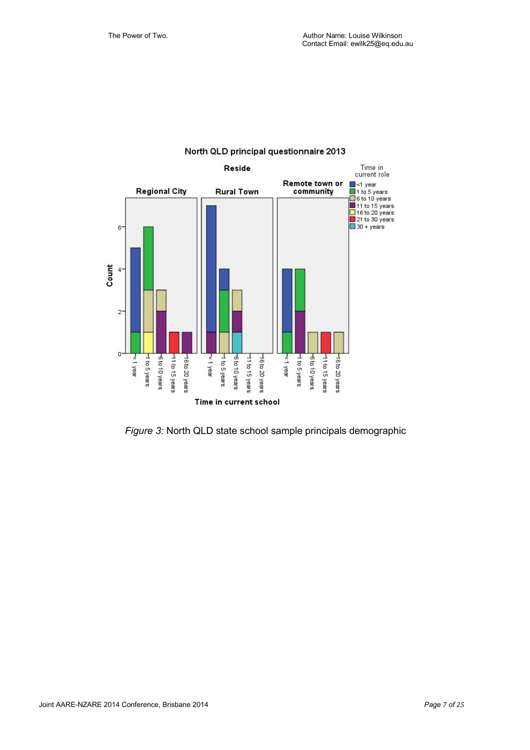

### North QLD principal questionnaire 2013

*Figure 3:* North QLD state school sample principals demographic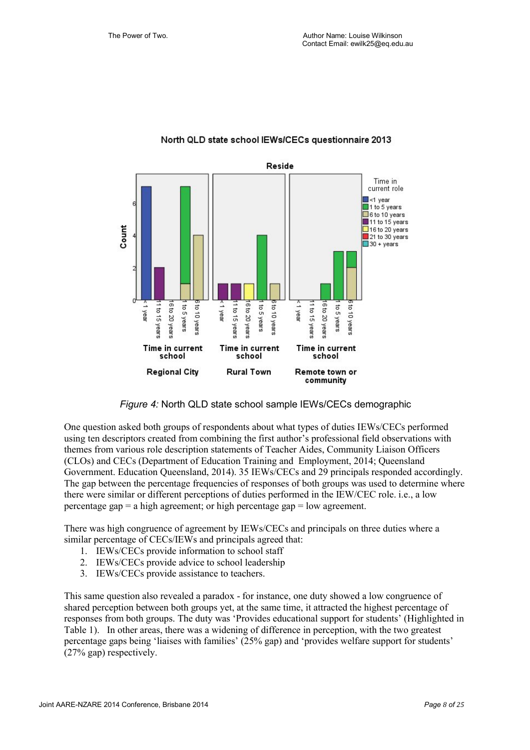

### North QLD state school IEWs/CECs questionnaire 2013

*Figure 4:* North QLD state school sample IEWs/CECs demographic

One question asked both groups of respondents about what types of duties IEWs/CECs performed using ten descriptors created from combining the first author's professional field observations with themes from various role description statements of Teacher Aides, Community Liaison Officers (CLOs) and CECs (Department of Education Training and Employment, 2014; Queensland Government. Education Queensland, 2014). 35 IEWs/CECs and 29 principals responded accordingly. The gap between the percentage frequencies of responses of both groups was used to determine where there were similar or different perceptions of duties performed in the IEW/CEC role. i.e., a low percentage gap  $= a$  high agreement; or high percentage gap  $=$  low agreement.

There was high congruence of agreement by IEWs/CECs and principals on three duties where a similar percentage of CECs/IEWs and principals agreed that:

- 1. IEWs/CECs provide information to school staff
- 2. IEWs/CECs provide advice to school leadership
- 3. IEWs/CECs provide assistance to teachers.

This same question also revealed a paradox - for instance, one duty showed a low congruence of shared perception between both groups yet, at the same time, it attracted the highest percentage of responses from both groups. The duty was 'Provides educational support for students' (Highlighted in Table 1). In other areas, there was a widening of difference in perception, with the two greatest percentage gaps being 'liaises with families' (25% gap) and 'provides welfare support for students' (27% gap) respectively.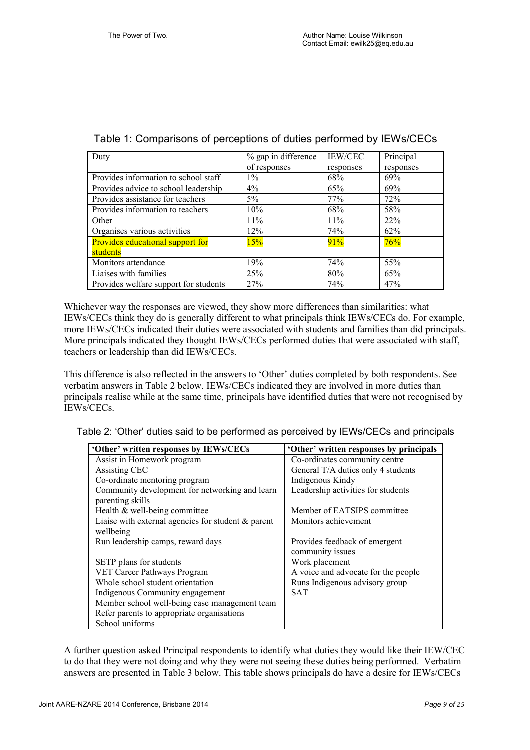| Duty                                  | % gap in difference | <b>IEW/CEC</b> | Principal |
|---------------------------------------|---------------------|----------------|-----------|
|                                       | of responses        | responses      | responses |
| Provides information to school staff  | $1\%$               | 68%            | 69%       |
| Provides advice to school leadership  | $4\%$               | 65%            | 69%       |
| Provides assistance for teachers      | 5%                  | 77%            | 72%       |
| Provides information to teachers      | 10%                 | 68%            | 58%       |
| Other                                 | 11%                 | 11%            | 22%       |
| Organises various activities          | 12%                 | 74%            | 62%       |
| Provides educational support for      | 15%                 | 91%            | 76%       |
| students                              |                     |                |           |
| Monitors attendance                   | 19%                 | 74%            | 55%       |
| Liaises with families                 | 25%                 | 80%            | 65%       |
| Provides welfare support for students | 27%                 | 74%            | 47%       |

| Table 1: Comparisons of perceptions of duties performed by IEWs/CECs |
|----------------------------------------------------------------------|
|----------------------------------------------------------------------|

Whichever way the responses are viewed, they show more differences than similarities: what IEWs/CECs think they do is generally different to what principals think IEWs/CECs do. For example, more IEWs/CECs indicated their duties were associated with students and families than did principals. More principals indicated they thought IEWs/CECs performed duties that were associated with staff, teachers or leadership than did IEWs/CECs.

This difference is also reflected in the answers to 'Other' duties completed by both respondents. See verbatim answers in Table 2 below. IEWs/CECs indicated they are involved in more duties than principals realise while at the same time, principals have identified duties that were not recognised by IEWs/CECs.

Table 2: 'Other' duties said to be performed as perceived by IEWs/CECs and principals

| 'Other' written responses by IEWs/CECs                             | 'Other' written responses by principals           |  |
|--------------------------------------------------------------------|---------------------------------------------------|--|
| Assist in Homework program                                         | Co-ordinates community centre                     |  |
| Assisting CEC                                                      | General T/A duties only 4 students                |  |
| Co-ordinate mentoring program                                      | Indigenous Kindy                                  |  |
| Community development for networking and learn<br>parenting skills | Leadership activities for students                |  |
| Health & well-being committee                                      | Member of EATSIPS committee                       |  |
| Liaise with external agencies for student $\&$ parent<br>wellbeing | Monitors achievement                              |  |
| Run leadership camps, reward days                                  | Provides feedback of emergent<br>community issues |  |
| SETP plans for students                                            | Work placement                                    |  |
| VET Career Pathways Program                                        | A voice and advocate for the people               |  |
| Whole school student orientation                                   | Runs Indigenous advisory group                    |  |
| Indigenous Community engagement                                    | SAT                                               |  |
| Member school well-being case management team                      |                                                   |  |
| Refer parents to appropriate organisations                         |                                                   |  |
| School uniforms                                                    |                                                   |  |

A further question asked Principal respondents to identify what duties they would like their IEW/CEC to do that they were not doing and why they were not seeing these duties being performed. Verbatim answers are presented in Table 3 below. This table shows principals do have a desire for IEWs/CECs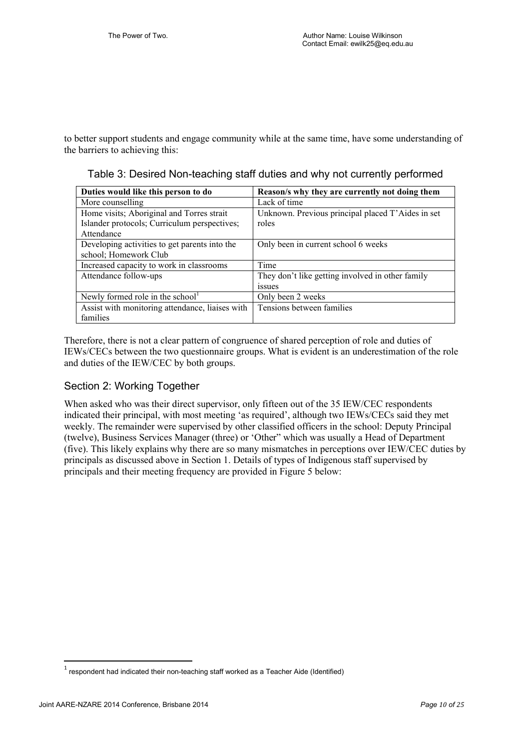to better support students and engage community while at the same time, have some understanding of the barriers to achieving this:

Table 3: Desired Non-teaching staff duties and why not currently performed

| Duties would like this person to do             | Reason's why they are currently not doing them    |
|-------------------------------------------------|---------------------------------------------------|
| More counselling                                | Lack of time                                      |
| Home visits; Aboriginal and Torres strait       | Unknown. Previous principal placed T'Aides in set |
| Islander protocols; Curriculum perspectives;    | roles                                             |
| Attendance                                      |                                                   |
| Developing activities to get parents into the   | Only been in current school 6 weeks               |
| school; Homework Club                           |                                                   |
| Increased capacity to work in classrooms        | Time                                              |
| Attendance follow-ups                           | They don't like getting involved in other family  |
|                                                 | <i>ssues</i>                                      |
| Newly formed role in the school $1$             | Only been 2 weeks                                 |
| Assist with monitoring attendance, liaises with | Tensions between families                         |
| families                                        |                                                   |

Therefore, there is not a clear pattern of congruence of shared perception of role and duties of IEWs/CECs between the two questionnaire groups. What is evident is an underestimation of the role and duties of the IEW/CEC by both groups.

## Section 2: Working Together

When asked who was their direct supervisor, only fifteen out of the 35 IEW/CEC respondents indicated their principal, with most meeting 'as required', although two IEWs/CECs said they met weekly. The remainder were supervised by other classified officers in the school: Deputy Principal (twelve), Business Services Manager (three) or 'Other" which was usually a Head of Department (five). This likely explains why there are so many mismatches in perceptions over IEW/CEC duties by principals as discussed above in Section 1. Details of types of Indigenous staff supervised by principals and their meeting frequency are provided in Figure 5 below:

 $\overline{\phantom{a}}$ 

 $^{\rm 1}$  respondent had indicated their non-teaching staff worked as a Teacher Aide (Identified)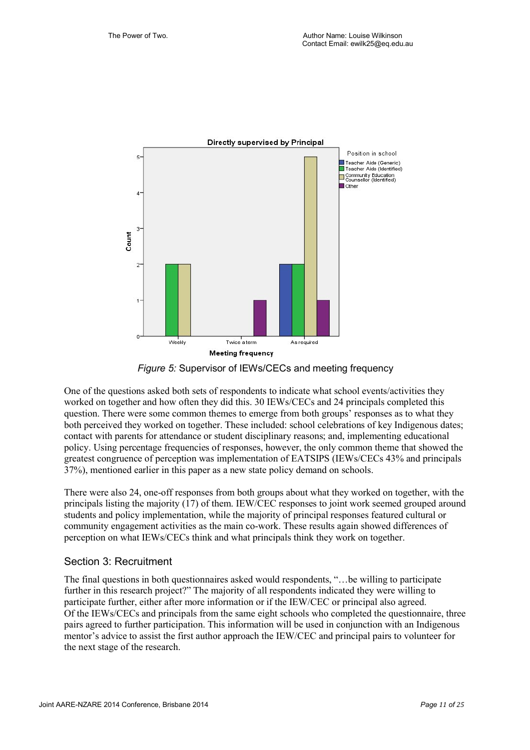

*Figure 5:* Supervisor of IEWs/CECs and meeting frequency

One of the questions asked both sets of respondents to indicate what school events/activities they worked on together and how often they did this. 30 IEWs/CECs and 24 principals completed this question. There were some common themes to emerge from both groups' responses as to what they both perceived they worked on together. These included: school celebrations of key Indigenous dates; contact with parents for attendance or student disciplinary reasons; and, implementing educational policy. Using percentage frequencies of responses, however, the only common theme that showed the greatest congruence of perception was implementation of EATSIPS (IEWs/CECs 43% and principals 37%), mentioned earlier in this paper as a new state policy demand on schools.

There were also 24, one-off responses from both groups about what they worked on together, with the principals listing the majority (17) of them. IEW/CEC responses to joint work seemed grouped around students and policy implementation, while the majority of principal responses featured cultural or community engagement activities as the main co-work. These results again showed differences of perception on what IEWs/CECs think and what principals think they work on together.

## Section 3: Recruitment

The final questions in both questionnaires asked would respondents, "…be willing to participate further in this research project?" The majority of all respondents indicated they were willing to participate further, either after more information or if the IEW/CEC or principal also agreed. Of the IEWs/CECs and principals from the same eight schools who completed the questionnaire, three pairs agreed to further participation. This information will be used in conjunction with an Indigenous mentor's advice to assist the first author approach the IEW/CEC and principal pairs to volunteer for the next stage of the research.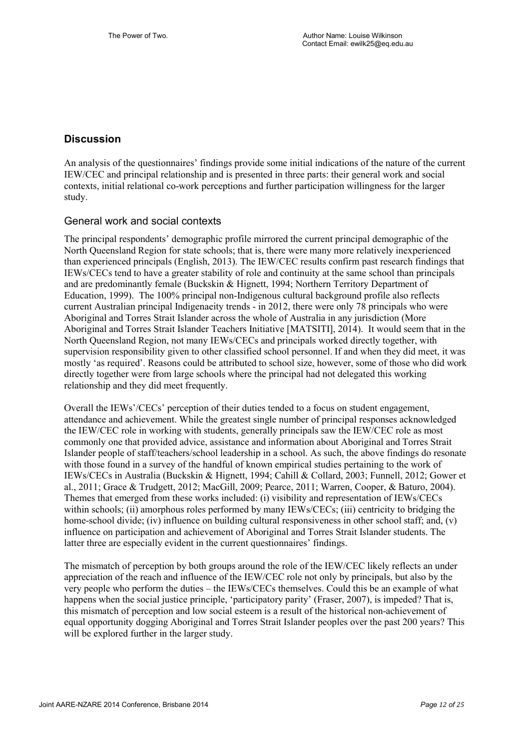## **Discussion**

An analysis of the questionnaires' findings provide some initial indications of the nature of the current IEW/CEC and principal relationship and is presented in three parts: their general work and social contexts, initial relational co-work perceptions and further participation willingness for the larger study.

## General work and social contexts

The principal respondents' demographic profile mirrored the current principal demographic of the North Queensland Region for state schools; that is, there were many more relatively inexperienced than experienced principals (English, 2013). The IEW/CEC results confirm past research findings that IEWs/CECs tend to have a greater stability of role and continuity at the same school than principals and are predominantly female (Buckskin & Hignett, 1994; Northern Territory Department of Education, 1999). The 100% principal non-Indigenous cultural background profile also reflects current Australian principal Indigenaeity trends - in 2012, there were only 78 principals who were Aboriginal and Torres Strait Islander across the whole of Australia in any jurisdiction (More Aboriginal and Torres Strait Islander Teachers Initiative [MATSITI], 2014). It would seem that in the North Queensland Region, not many IEWs/CECs and principals worked directly together, with supervision responsibility given to other classified school personnel. If and when they did meet, it was mostly 'as required'. Reasons could be attributed to school size, however, some of those who did work directly together were from large schools where the principal had not delegated this working relationship and they did meet frequently.

Overall the IEWs'/CECs' perception of their duties tended to a focus on student engagement, attendance and achievement. While the greatest single number of principal responses acknowledged the IEW/CEC role in working with students, generally principals saw the IEW/CEC role as most commonly one that provided advice, assistance and information about Aboriginal and Torres Strait Islander people of staff/teachers/school leadership in a school. As such, the above findings do resonate with those found in a survey of the handful of known empirical studies pertaining to the work of IEWs/CECs in Australia (Buckskin & Hignett, 1994; Cahill & Collard, 2003; Funnell, 2012; Gower et al., 2011; Grace & Trudgett, 2012; MacGill, 2009; Pearce, 2011; Warren, Cooper, & Baturo, 2004). Themes that emerged from these works included: (i) visibility and representation of IEWs/CECs within schools; (ii) amorphous roles performed by many IEWs/CECs; (iii) centricity to bridging the home-school divide; (iv) influence on building cultural responsiveness in other school staff; and, (v) influence on participation and achievement of Aboriginal and Torres Strait Islander students. The latter three are especially evident in the current questionnaires' findings.

The mismatch of perception by both groups around the role of the IEW/CEC likely reflects an under appreciation of the reach and influence of the IEW/CEC role not only by principals, but also by the very people who perform the duties – the IEWs/CECs themselves. Could this be an example of what happens when the social justice principle, 'participatory parity' (Fraser, 2007), is impeded? That is, this mismatch of perception and low social esteem is a result of the historical non-achievement of equal opportunity dogging Aboriginal and Torres Strait Islander peoples over the past 200 years? This will be explored further in the larger study.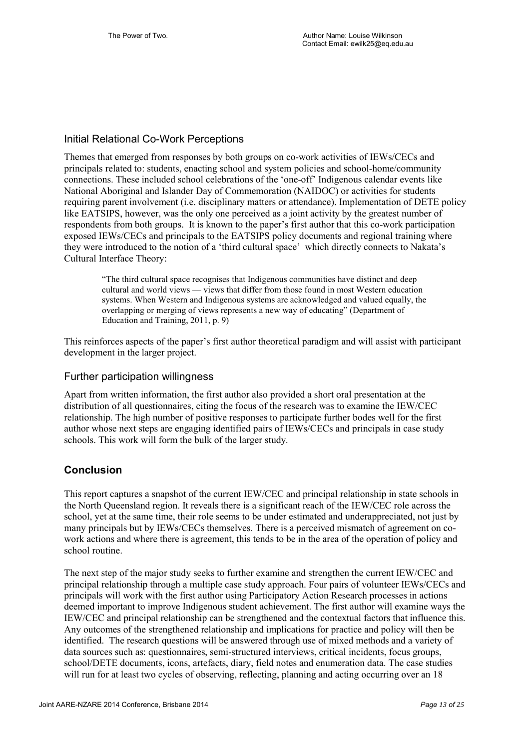## Initial Relational Co-Work Perceptions

Themes that emerged from responses by both groups on co-work activities of IEWs/CECs and principals related to: students, enacting school and system policies and school-home/community connections. These included school celebrations of the 'one-off' Indigenous calendar events like National Aboriginal and Islander Day of Commemoration (NAIDOC) or activities for students requiring parent involvement (i.e. disciplinary matters or attendance). Implementation of DETE policy like EATSIPS, however, was the only one perceived as a joint activity by the greatest number of respondents from both groups. It is known to the paper's first author that this co-work participation exposed IEWs/CECs and principals to the EATSIPS policy documents and regional training where they were introduced to the notion of a 'third cultural space' which directly connects to Nakata's Cultural Interface Theory:

"The third cultural space recognises that Indigenous communities have distinct and deep cultural and world views — views that differ from those found in most Western education systems. When Western and Indigenous systems are acknowledged and valued equally, the overlapping or merging of views represents a new way of educating" (Department of Education and Training, 2011, p. 9)

This reinforces aspects of the paper's first author theoretical paradigm and will assist with participant development in the larger project.

## Further participation willingness

Apart from written information, the first author also provided a short oral presentation at the distribution of all questionnaires, citing the focus of the research was to examine the IEW/CEC relationship. The high number of positive responses to participate further bodes well for the first author whose next steps are engaging identified pairs of IEWs/CECs and principals in case study schools. This work will form the bulk of the larger study.

## **Conclusion**

This report captures a snapshot of the current IEW/CEC and principal relationship in state schools in the North Queensland region. It reveals there is a significant reach of the IEW/CEC role across the school, yet at the same time, their role seems to be under estimated and underappreciated, not just by many principals but by IEWs/CECs themselves. There is a perceived mismatch of agreement on cowork actions and where there is agreement, this tends to be in the area of the operation of policy and school routine.

The next step of the major study seeks to further examine and strengthen the current IEW/CEC and principal relationship through a multiple case study approach. Four pairs of volunteer IEWs/CECs and principals will work with the first author using Participatory Action Research processes in actions deemed important to improve Indigenous student achievement. The first author will examine ways the IEW/CEC and principal relationship can be strengthened and the contextual factors that influence this. Any outcomes of the strengthened relationship and implications for practice and policy will then be identified. The research questions will be answered through use of mixed methods and a variety of data sources such as: questionnaires, semi-structured interviews, critical incidents, focus groups, school/DETE documents, icons, artefacts, diary, field notes and enumeration data. The case studies will run for at least two cycles of observing, reflecting, planning and acting occurring over an 18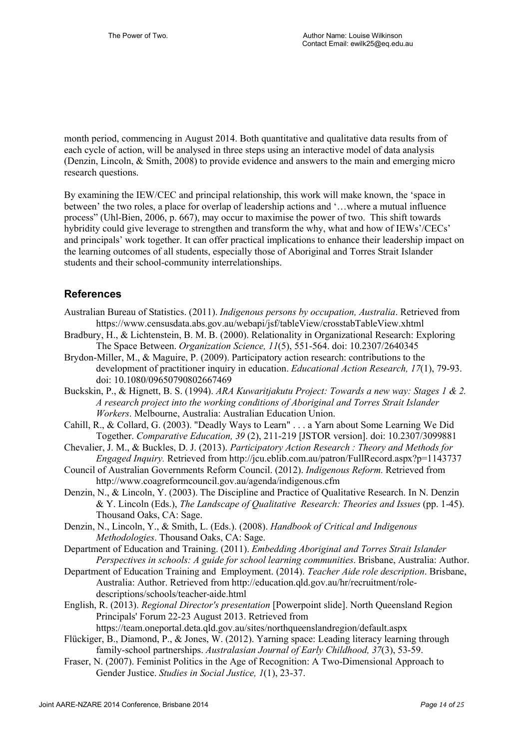month period, commencing in August 2014. Both quantitative and qualitative data results from of each cycle of action, will be analysed in three steps using an interactive model of data analysis (Denzin, Lincoln, & Smith, 2008) to provide evidence and answers to the main and emerging micro research questions.

By examining the IEW/CEC and principal relationship, this work will make known, the 'space in between' the two roles, a place for overlap of leadership actions and '…where a mutual influence process" (Uhl-Bien, 2006, p. 667), may occur to maximise the power of two. This shift towards hybridity could give leverage to strengthen and transform the why, what and how of IEWs'/CECs' and principals' work together. It can offer practical implications to enhance their leadership impact on the learning outcomes of all students, especially those of Aboriginal and Torres Strait Islander students and their school-community interrelationships.

## **References**

- Australian Bureau of Statistics. (2011). *Indigenous persons by occupation, Australia*. Retrieved from https://www.censusdata.abs.gov.au/webapi/jsf/tableView/crosstabTableView.xhtml
- Bradbury, H., & Lichtenstein, B. M. B. (2000). Relationality in Organizational Research: Exploring The Space Between. *Organization Science, 11*(5), 551-564. doi: 10.2307/2640345
- Brydon-Miller, M., & Maguire, P. (2009). Participatory action research: contributions to the development of practitioner inquiry in education. *Educational Action Research, 17*(1), 79-93. doi: 10.1080/09650790802667469
- Buckskin, P., & Hignett, B. S. (1994). *ARA Kuwaritjakutu Project: Towards a new way: Stages 1 & 2. A research project into the working conditions of Aboriginal and Torres Strait Islander Workers*. Melbourne, Australia: Australian Education Union.
- Cahill, R., & Collard, G. (2003). "Deadly Ways to Learn" . . . a Yarn about Some Learning We Did Together. *Comparative Education, 39* (2), 211-219 [JSTOR version]. doi: 10.2307/3099881
- Chevalier, J. M., & Buckles, D. J. (2013). *Participatory Action Research : Theory and Methods for Engaged Inquiry.* Retrieved from http://jcu.eblib.com.au/patron/FullRecord.aspx?p=1143737
- Council of Australian Governments Reform Council. (2012). *Indigenous Reform.* Retrieved from http://www.coagreformcouncil.gov.au/agenda/indigenous.cfm
- Denzin, N., & Lincoln, Y. (2003). The Discipline and Practice of Qualitative Research. In N. Denzin & Y. Lincoln (Eds.), *The Landscape of Qualitative Research: Theories and Issues* (pp. 1-45). Thousand Oaks, CA: Sage.
- Denzin, N., Lincoln, Y., & Smith, L. (Eds.). (2008). *Handbook of Critical and Indigenous Methodologies*. Thousand Oaks, CA: Sage.
- Department of Education and Training. (2011). *Embedding Aboriginal and Torres Strait Islander Perspectives in schools: A guide for school learning communities*. Brisbane, Australia: Author.
- Department of Education Training and Employment. (2014). *Teacher Aide role description*. Brisbane, Australia: Author. Retrieved from http://education.qld.gov.au/hr/recruitment/roledescriptions/schools/teacher-aide.html
- English, R. (2013). *Regional Director's presentation* [Powerpoint slide]. North Queensland Region Principals' Forum 22-23 August 2013. Retrieved from https://team.oneportal.deta.qld.gov.au/sites/northqueenslandregion/default.aspx
- Flückiger, B., Diamond, P., & Jones, W. (2012). Yarning space: Leading literacy learning through family-school partnerships. *Australasian Journal of Early Childhood, 37*(3), 53-59.
- Fraser, N. (2007). Feminist Politics in the Age of Recognition: A Two-Dimensional Approach to Gender Justice. *Studies in Social Justice, 1*(1), 23-37.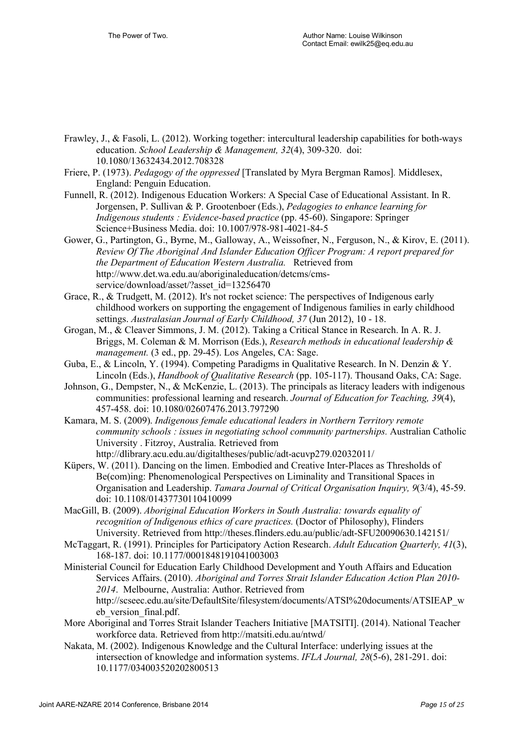- Frawley, J., & Fasoli, L. (2012). Working together: intercultural leadership capabilities for both-ways education. *School Leadership & Management, 32*(4), 309-320. doi: 10.1080/13632434.2012.708328
- Friere, P. (1973). *Pedagogy of the oppressed* [Translated by Myra Bergman Ramos]*.* Middlesex, England: Penguin Education.
- Funnell, R. (2012). Indigenous Education Workers: A Special Case of Educational Assistant. In R. Jorgensen, P. Sullivan & P. Grootenboer (Eds.), *Pedagogies to enhance learning for Indigenous students : Evidence-based practice* (pp. 45-60). Singapore: Springer Science+Business Media. doi: 10.1007/978-981-4021-84-5
- Gower, G., Partington, G., Byrne, M., Galloway, A., Weissofner, N., Ferguson, N., & Kirov, E. (2011). *Review Of The Aboriginal And Islander Education Officer Program: A report prepared for the Department of Education Western Australia.* Retrieved from http://www.det.wa.edu.au/aboriginaleducation/detcms/cmsservice/download/asset/?asset\_id=13256470
- Grace, R., & Trudgett, M. (2012). It's not rocket science: The perspectives of Indigenous early childhood workers on supporting the engagement of Indigenous families in early childhood settings. *Australasian Journal of Early Childhood, 37* (Jun 2012), 10 - 18.
- Grogan, M., & Cleaver Simmons, J. M. (2012). Taking a Critical Stance in Research. In A. R. J. Briggs, M. Coleman & M. Morrison (Eds.), *Research methods in educational leadership & management.* (3 ed., pp. 29-45). Los Angeles, CA: Sage.
- Guba, E., & Lincoln, Y. (1994). Competing Paradigms in Qualitative Research. In N. Denzin & Y. Lincoln (Eds.), *Handbook of Qualitative Research* (pp. 105-117). Thousand Oaks, CA: Sage.
- Johnson, G., Dempster, N., & McKenzie, L. (2013). The principals as literacy leaders with indigenous communities: professional learning and research. *Journal of Education for Teaching, 39*(4), 457-458. doi: 10.1080/02607476.2013.797290
- Kamara, M. S. (2009). *Indigenous female educational leaders in Northern Territory remote community schools : issues in negotiating school community partnerships.* Australian Catholic University . Fitzroy, Australia. Retrieved from http://dlibrary.acu.edu.au/digitaltheses/public/adt-acuvp279.02032011/
- Küpers, W. (2011). Dancing on the limen. Embodied and Creative Inter-Places as Thresholds of Be(com)ing: Phenomenological Perspectives on Liminality and Transitional Spaces in Organisation and Leadership. *Tamara Journal of Critical Organisation Inquiry, 9*(3/4), 45-59. doi: 10.1108/01437730110410099
- MacGill, B. (2009). *Aboriginal Education Workers in South Australia: towards equality of recognition of Indigenous ethics of care practices.* (Doctor of Philosophy), Flinders University. Retrieved from http://theses.flinders.edu.au/public/adt-SFU20090630.142151/
- McTaggart, R. (1991). Principles for Participatory Action Research. *Adult Education Quarterly, 41*(3), 168-187. doi: 10.1177/0001848191041003003
- Ministerial Council for Education Early Childhood Development and Youth Affairs and Education Services Affairs. (2010). *Aboriginal and Torres Strait Islander Education Action Plan 2010- 2014*. Melbourne, Australia: Author. Retrieved from http://scseec.edu.au/site/DefaultSite/filesystem/documents/ATSI%20documents/ATSIEAP\_w eb\_version\_final.pdf.
- More Aboriginal and Torres Strait Islander Teachers Initiative [MATSITI]. (2014). National Teacher workforce data. Retrieved from http://matsiti.edu.au/ntwd/
- Nakata, M. (2002). Indigenous Knowledge and the Cultural Interface: underlying issues at the intersection of knowledge and information systems. *IFLA Journal, 28*(5-6), 281-291. doi: 10.1177/034003520202800513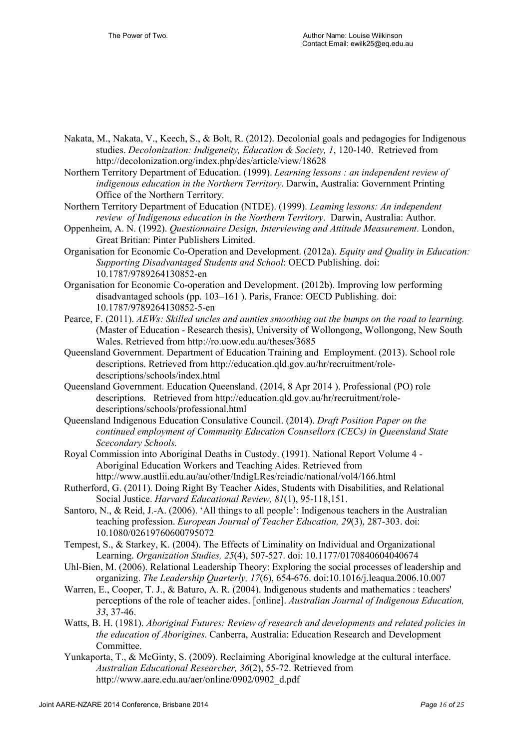- Nakata, M., Nakata, V., Keech, S., & Bolt, R. (2012). Decolonial goals and pedagogies for Indigenous studies. *Decolonization: Indigeneity, Education & Society, 1*, 120-140. Retrieved from http://decolonization.org/index.php/des/article/view/18628
- Northern Territory Department of Education. (1999). *Learning lessons : an independent review of indigenous education in the Northern Territory*. Darwin, Australia: Government Printing Office of the Northern Territory.
- Northern Territory Department of Education (NTDE). (1999). *Leaming lessons: An independent review of Indigenous education in the Northern Territory*. Darwin, Australia: Author.
- Oppenheim, A. N. (1992). *Questionnaire Design, Interviewing and Attitude Measurement*. London, Great Britian: Pinter Publishers Limited.
- Organisation for Economic Co-Operation and Development. (2012a). *Equity and Quality in Education: Supporting Disadvantaged Students and School*: OECD Publishing. doi: 10.1787/9789264130852-en
- Organisation for Economic Co-operation and Development. (2012b). Improving low performing disadvantaged schools (pp. 103–161 ). Paris, France: OECD Publishing. doi: 10.1787/9789264130852-5-en
- Pearce, F. (2011). *AEWs: Skilled uncles and aunties smoothing out the bumps on the road to learning.* (Master of Education - Research thesis), University of Wollongong, Wollongong, New South Wales. Retrieved from http://ro.uow.edu.au/theses/3685
- Queensland Government. Department of Education Training and Employment. (2013). School role descriptions. Retrieved from http://education.qld.gov.au/hr/recruitment/roledescriptions/schools/index.html
- Queensland Government. Education Queensland. (2014, 8 Apr 2014 ). Professional (PO) role descriptions. Retrieved from http://education.qld.gov.au/hr/recruitment/roledescriptions/schools/professional.html
- Queensland Indigenous Education Consulative Council. (2014). *Draft Position Paper on the continued employment of Community Education Counsellors (CECs) in Queensland State Scecondary Schools.*
- Royal Commission into Aboriginal Deaths in Custody. (1991). National Report Volume 4 Aboriginal Education Workers and Teaching Aides. Retrieved from http://www.austlii.edu.au/au/other/IndigLRes/rciadic/national/vol4/166.html
- Rutherford, G. (2011). Doing Right By Teacher Aides, Students with Disabilities, and Relational Social Justice. *Harvard Educational Review, 81*(1), 95-118,151.
- Santoro, N., & Reid, J.-A. (2006). 'All things to all people': Indigenous teachers in the Australian teaching profession. *European Journal of Teacher Education, 29*(3), 287-303. doi: 10.1080/02619760600795072
- Tempest, S., & Starkey, K. (2004). The Effects of Liminality on Individual and Organizational Learning. *Organization Studies, 25*(4), 507-527. doi: 10.1177/0170840604040674
- Uhl-Bien, M. (2006). Relational Leadership Theory: Exploring the social processes of leadership and organizing. *The Leadership Quarterly, 17*(6), 654-676. doi:10.1016/j.leaqua.2006.10.007
- Warren, E., Cooper, T. J., & Baturo, A. R. (2004). Indigenous students and mathematics : teachers' perceptions of the role of teacher aides. [online]. *Australian Journal of Indigenous Education, 33*, 37-46.
- Watts, B. H. (1981). *Aboriginal Futures: Review of research and developments and related policies in the education of Aborigines*. Canberra, Australia: Education Research and Development Committee.
- Yunkaporta, T., & McGinty, S. (2009). Reclaiming Aboriginal knowledge at the cultural interface. *Australian Educational Researcher, 36*(2), 55-72. Retrieved from http://www.aare.edu.au/aer/online/0902/0902\_d.pdf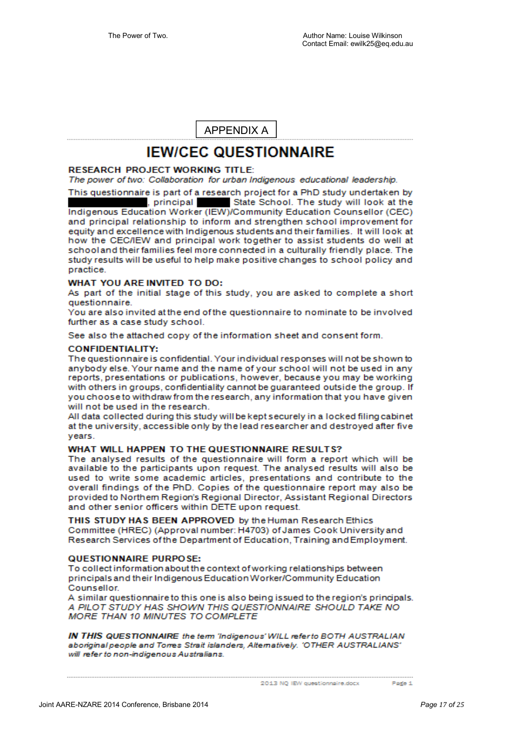APPENDIX A

## **IEW/CEC QUESTIONNAIRE**

#### **RESEARCH PROJECT WORKING TITLE:**

The power of two: Collaboration for urban Indigenous educational leadership.

This questionnaire is part of a research project for a PhD study undertaken by . principal State School. The study will look at the Indigenous Education Worker (IEW)/Community Education Counsellor (CEC) and principal relationship to inform and strengthen school improvement for equity and excellence with Indigenous students and their families. It will look at how the CEC/IEW and principal work together to assist students do well at school and their families feel more connected in a culturally friendly place. The study results will be useful to help make positive changes to school policy and practice.

#### WHAT YOU ARE INVITED TO DO:

As part of the initial stage of this study, you are asked to complete a short questionnaire.

You are also invited at the end of the questionnaire to nominate to be involved further as a case study school.

See also the attached copy of the information sheet and consent form.

#### **CONFIDENTIALITY:**

The questionnaire is confidential. Your individual responses will not be shown to anybody else. Your name and the name of your school will not be used in any reports, presentations or publications, however, because you may be working with others in groups, confidentiality cannot be quaranteed outside the group. If you choose to withdraw from the research, any information that you have given will not be used in the research.

All data collected during this study will be kept securely in a locked filing cabinet at the university, accessible only by the lead researcher and destroyed after five vears

#### WHAT WILL HAPPEN TO THE QUESTIONNAIRE RESULTS?

The analysed results of the questionnaire will form a report which will be available to the participants upon request. The analysed results will also be used to write some academic articles, presentations and contribute to the overall findings of the PhD. Copies of the questionnaire report may also be provided to Northem Region's Regional Director, Assistant Regional Directors and other senior officers within DETE upon request.

THIS STUDY HAS BEEN APPROVED by the Human Research Ethics Committee (HREC) (Approval number: H4703) of James Cook University and Research Services of the Department of Education, Training and Employment.

#### **QUESTIONNAIRE PURPOSE:**

To collect information about the context of working relationships between principals and their Indigenous Education Worker/Community Education Counsellor.

A similar questionnaire to this one is also being issued to the region's principals. A PILOT STUDY HAS SHOWN THIS QUESTIONNAIRE SHOULD TAKE NO MORE THAN 10 MINUTES TO COMPLETE

IN THIS QUESTIONNAIRE the term 'Indigenous' WILL refer to BOTH AUSTRALIAN aboriginal people and Torres Strait islanders, Alternatively. 'OTHER AUSTRALIANS' will refer to non-indigenous Australians.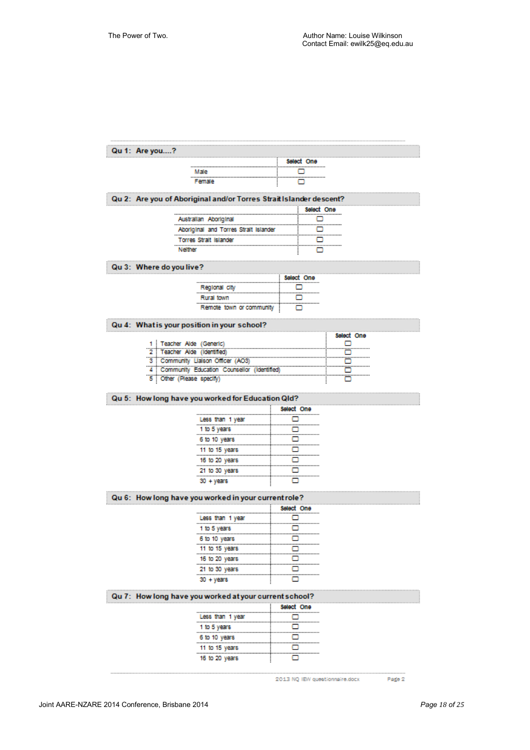#### Qu 1: Are you....? Select One ö Male ö Female Qu 2: Are you of Aboriginal and/or Torres Strait Islander descent? Select One Australian Aboriginal ö ö Aboriginal and Torres Strait Islander ö Torres Strait Islander ö Neither Qu 3: Where do you live? Select One Regional city ö ö Rural town ö Remote town or community

#### Qu 4: What is your position in your school?

|                                             | select one |
|---------------------------------------------|------------|
| 1 : Teacher Alde (Generic)                  |            |
| : Teacher Alde (Identified)                 |            |
| 3 : Community Lialson Officer (AO3)         |            |
| Community Education Counsellor (Identified) |            |
| Xher (Please specify                        |            |

#### Qu 5: How long have you worked for Education Qld?

|                  | Select One |
|------------------|------------|
| Less than 1 year |            |
| 1 to 5 years     |            |
| 6 to 10 years    |            |
| 11 to 15 years   |            |
| 16 to 20 years   |            |
| 21 to 30 years   |            |
| 30 + vears       |            |

#### Qu 6: How long have you worked in your current role?

|                  | Select One |
|------------------|------------|
| Less than 1 year | ⊓          |
| 1 to 5 years     | п          |
| 6 to 10 years    | □          |
| 11 to 15 years   | ۰          |
| 16 to 20 years   | n          |
| 21 to 30 years   |            |
| 30 + vears       |            |

## Qu 7: How long have you worked at your current school?

|                  | Select One |
|------------------|------------|
| Less than 1 year |            |
| 1 to 5 years     |            |
| 6 to 10 years    |            |
| 11 to 15 years   |            |
| 16 to 20 years   |            |

2013 NQ IEW questionnaire.docx

Page 2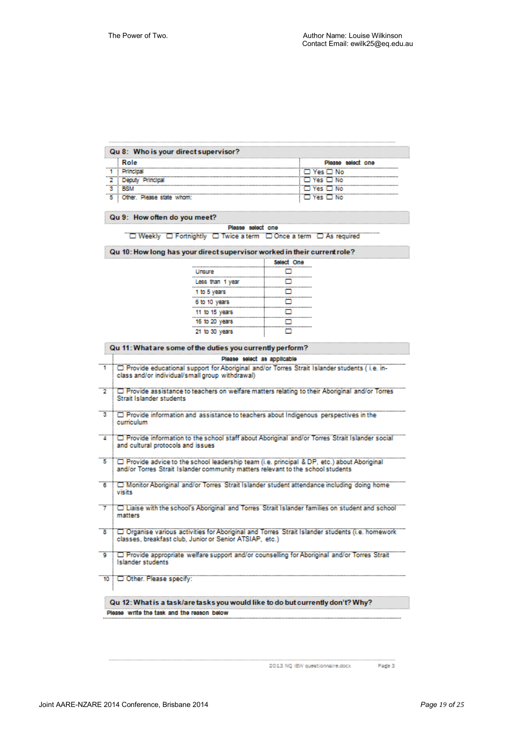| Role                      | Plaasa<br>select one |
|---------------------------|----------------------|
|                           | Vec ⊡ No             |
|                           | <b>CLYPS</b> CLINO   |
|                           | Yes FI No.           |
| Other. Please state whom: | <b>CLYes</b> CLNo    |

#### Please select one """ Weekly "" Fortnightly" "" Twice a term "" Once a term "" "As required"

#### Qu 10: How long has your direct supervisor worked in their current role?

|                  | Select One |
|------------------|------------|
| Unsure           | ⊓          |
| Less than 1 year |            |
| 1 to 5 years     |            |
| 6 to 10 years    |            |
| 11 to 15 years   |            |
| 16 to 20 years   |            |
| 21 to 30 years   |            |

| Qu 11: What are some of the duties you currently perform?                                                                                                                    |
|------------------------------------------------------------------------------------------------------------------------------------------------------------------------------|
| Please select as applicable                                                                                                                                                  |
| T Provide educational support for Aboriginal and/or Torres Strait Islander students (i.e. in-<br>class and/or individual/small group withdrawal)                             |
| Provide assistance to teachers on welfare matters relating to their Aboriginal and/or Torres<br>Strait Islander students                                                     |
| <sup>3</sup> Provide information and assistance to teachers about Indigenous perspectives in the<br>curriculum                                                               |
| "T" Provide information to the school staff about Aboriginal and/or Torres Strait Islander social<br>and cultural protocols and issues                                       |
| Frovide advice to the school leadership team (i.e. principal & DP, etc.) about Aboriginal<br>and/or Torres Strait Islander community matters relevant to the school students |
| "6"   "Monitor Aboriginal" and/or Torres Strait Islander student attendance including doing home<br>visits                                                                   |
| "7" ["Liaise with the school's Abonginal and Torres Strait Islander families on student and school""<br>matters                                                              |
| 8   Organise various activities for Aboriginal and Torres Strait Islander students (i.e. homework<br>classes, breakfast club, Junior or Senior ATSIAP, etc.)                 |
| Provide appropriate welfare support and/or counselling for Aboriginal and/or Torres Strait<br><b>Islander students</b>                                                       |
| TO TO Other. Please specify:                                                                                                                                                 |
| Qu 12: What is a task/are tasks you would like to do but currently don't? Why?                                                                                               |
| Plasse, write the task and the reason below                                                                                                                                  |

2013 NQ IEW questionnaire.docx

Page 3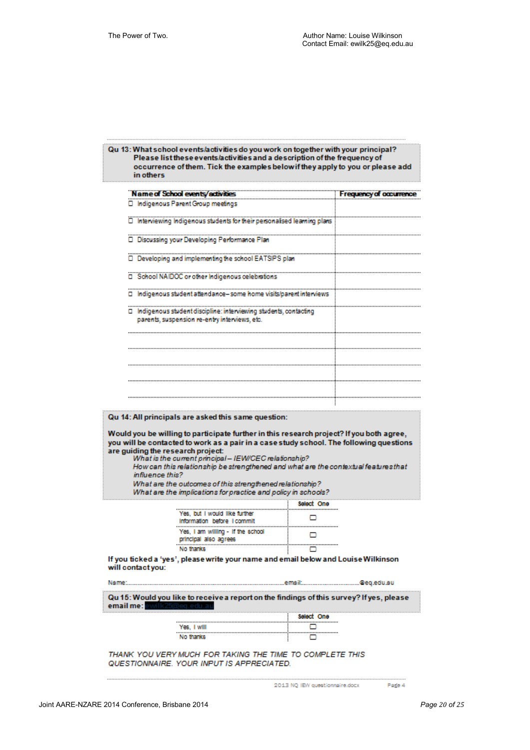## Qu 13: What school events/activities do you work on together with your principal?<br>Please list these events/activities and a description of the frequency of occurrence of them. Tick the examples below if they apply to you or please add in others

|             | <b>Name of School events/adivities</b>                                                                                                                                                                                                                                                                                                                     |                 | Frequency of occurrence |
|-------------|------------------------------------------------------------------------------------------------------------------------------------------------------------------------------------------------------------------------------------------------------------------------------------------------------------------------------------------------------------|-----------------|-------------------------|
|             | □ Indigenous Parent Group meetings                                                                                                                                                                                                                                                                                                                         |                 |                         |
|             | Interviewing Indigenous students for their personalised learning plans                                                                                                                                                                                                                                                                                     |                 |                         |
|             | Discussing your Developing Performance Plan                                                                                                                                                                                                                                                                                                                |                 |                         |
|             | D Developing and implementing the school EATSIPS plan                                                                                                                                                                                                                                                                                                      |                 |                         |
|             | School NAIDOC or other Indigenous celebrations                                                                                                                                                                                                                                                                                                             |                 |                         |
|             | □ Indigenous student attendance- some home visits/parent interviews                                                                                                                                                                                                                                                                                        |                 |                         |
|             | $\Box$ Indigenous student discipline: interviewing students, contacting<br>parents, suspension re-entry interviews, etc.                                                                                                                                                                                                                                   |                 |                         |
|             |                                                                                                                                                                                                                                                                                                                                                            |                 |                         |
|             |                                                                                                                                                                                                                                                                                                                                                            |                 |                         |
|             |                                                                                                                                                                                                                                                                                                                                                            |                 |                         |
|             |                                                                                                                                                                                                                                                                                                                                                            |                 |                         |
|             | you will be contacted to work as a pair in a case study school. The following questions<br>are guiding the research project:<br>What is the current principal - IEW/CEC relationship?<br>How can this relationship be strengthened and what are the contextual featuresthat<br>influence this?<br>What are the outcomes of this strengthened relationship? |                 |                         |
|             | What are the implications for practice and policy in schools?                                                                                                                                                                                                                                                                                              |                 |                         |
|             | Yes, but I would like further<br>Information before I commit                                                                                                                                                                                                                                                                                               | Select One<br>! |                         |
|             | Yes, I am willing - If the school<br>principal also agrees                                                                                                                                                                                                                                                                                                 |                 |                         |
|             | No thanks<br>If you ticked a 'yes', please write your name and email below and Louise Wilkinson                                                                                                                                                                                                                                                            |                 |                         |
|             | will contact you:                                                                                                                                                                                                                                                                                                                                          |                 |                         |
| Name:       |                                                                                                                                                                                                                                                                                                                                                            |                 |                         |
| email me: l | Qu 15: Would you like to receive a report on the findings of this survey? If yes, please                                                                                                                                                                                                                                                                   |                 |                         |
|             |                                                                                                                                                                                                                                                                                                                                                            | Select One      |                         |
|             | Yes, I will                                                                                                                                                                                                                                                                                                                                                | <br>o           |                         |
|             | No thanks                                                                                                                                                                                                                                                                                                                                                  | ப               |                         |
|             | THANK YOU VERY MUCH FOR TAKING THE TIME TO COMPLETE THIS<br>QUESTIONNAIRE. YOUR INPUT IS APPRECIATED.                                                                                                                                                                                                                                                      |                 |                         |
|             |                                                                                                                                                                                                                                                                                                                                                            |                 |                         |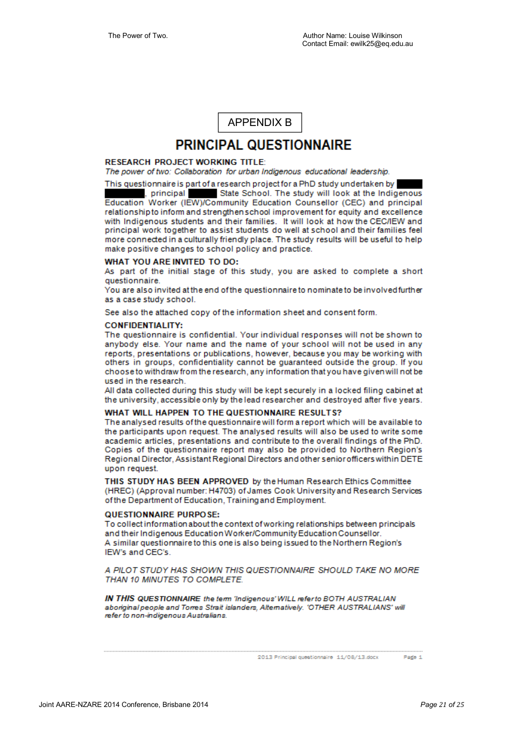APPENDIX B

## PRINCIPAL QUESTIONNAIRE

#### **RESEARCH PROJECT WORKING TITLE:**

The power of two: Collaboration for urban Indigenous educational leadership.

This questionnaire is part of a research project for a PhD study undertaken by . principal State School. The study will look at the Indigenous Education Worker (IEW)/Community Education Counsellor (CEC) and principal relationship to inform and strengthen school improvement for equity and excellence with Indigenous students and their families. It will look at how the CEC/IEW and principal work together to assist students do well at school and their families feel more connected in a culturally friendly place. The study results will be useful to help make positive changes to school policy and practice.

#### **WHAT YOU ARE INVITED TO DO:**

As part of the initial stage of this study, you are asked to complete a short questionnaire

You are also invited at the end of the questionnaire to nominate to be involved further as a case study school.

See also the attached copy of the information sheet and consent form.

#### **CONFIDENTIALITY:**

The questionnaire is confidential. Your individual responses will not be shown to anybody else. Your name and the name of your school will not be used in any reports, presentations or publications, however, because you may be working with others in groups, confidentiality cannot be quaranteed outside the group. If you choose to withdraw from the research, any information that you have given will not be used in the research.

All data collected during this study will be kept securely in a locked filing cabinet at the university, accessible only by the lead researcher and destroyed after five years.

#### WHAT WILL HAPPEN TO THE QUESTIONNAIRE RESULTS?

The analysed results of the questionnaire will form a report which will be available to the participants upon request. The analysed results will also be used to write some academic articles, presentations and contribute to the overall findings of the PhD. Copies of the questionnaire report may also be provided to Northern Region's Regional Director, Assistant Regional Directors and other senior officers within DETE upon request.

THIS STUDY HAS BEEN APPROVED by the Human Research Ethics Committee (HREC) (Approval number: H4703) of James Cook University and Research Services of the Department of Education, Training and Employment.

#### QUESTIONNAIRE PURPOSE:

To collect information about the context of working relationships between principals and their Indigenous Education Worker/Community Education Counsellor. A similar questionnaire to this one is also being issued to the Northern Region's IEW's and CEC's

A PILOT STUDY HAS SHOWN THIS QUESTIONNAIRE SHOULD TAKE NO MORE THAN 10 MINUTES TO COMPLETE.

IN THIS QUESTIONNAIRE the term 'Indigenous' WILL refer to BOTH AUSTRALIAN aboriginal people and Torres Strait islanders, Alternatively. 'OTHER AUSTRALIANS' will refer to non-indigenous Australians.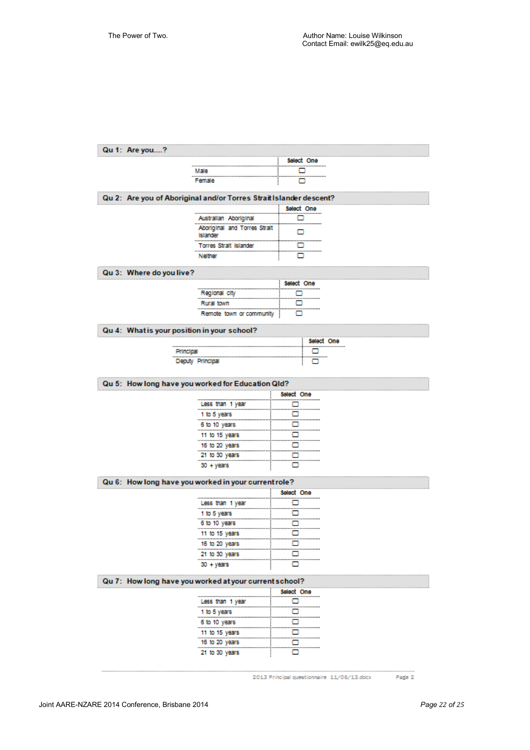| Qu 1: Are you?     |                                                                            |                 |  |
|--------------------|----------------------------------------------------------------------------|-----------------|--|
|                    |                                                                            | Select One<br>  |  |
|                    |                                                                            |                 |  |
|                    | Female                                                                     |                 |  |
|                    |                                                                            |                 |  |
|                    | Are you of Aboriginal and/or Torres Strait Islander descent?<br>Select One |                 |  |
|                    | Australian Aboriginal                                                      |                 |  |
|                    | Aboriginal and Torres Strait                                               |                 |  |
|                    | Islander                                                                   |                 |  |
|                    | Torres Strait Islander<br>                                                 |                 |  |
|                    | Neither                                                                    |                 |  |
| Where do you live? |                                                                            |                 |  |
|                    |                                                                            | Select One      |  |
|                    | Regional city                                                              | <br>⊧ o         |  |
|                    | Rural town                                                                 | ! o             |  |
|                    | Remote town or community                                                   |                 |  |
|                    |                                                                            |                 |  |
|                    | Qu 4: What is your position in your school?                                |                 |  |
|                    |                                                                            | Select One      |  |
|                    | Principal                                                                  |                 |  |
|                    | Deputy Principal                                                           | - 0             |  |
|                    |                                                                            |                 |  |
|                    | Qu 5: How long have you worked for Education Qld?                          |                 |  |
|                    |                                                                            | .<br>Select One |  |
|                    | Less than 1 year<br><del>.</del>                                           |                 |  |
|                    | 1 to 5 years                                                               | o               |  |
|                    | 6 to 10 years                                                              | o               |  |
|                    | 11 to 15 years                                                             | <u></u><br>o    |  |
|                    | 16 to 20 years                                                             | <br>о           |  |
|                    | <u>21 to 30 years __________________________</u>                           |                 |  |
|                    | 30 + years                                                                 | o               |  |
|                    |                                                                            |                 |  |
|                    |                                                                            | Select One      |  |
|                    | Less than 1 year                                                           |                 |  |
|                    |                                                                            |                 |  |
|                    | 1 to 5 years                                                               |                 |  |
|                    |                                                                            |                 |  |
|                    | 11 to 15 years                                                             | . .             |  |
|                    | 16 to 20 years                                                             |                 |  |
|                    | <u>21 to 30 years ____________________________</u>                         |                 |  |
|                    | 30 + years                                                                 |                 |  |
|                    |                                                                            |                 |  |
|                    |                                                                            | Select One      |  |
|                    |                                                                            | T o             |  |
|                    |                                                                            |                 |  |
|                    |                                                                            |                 |  |
|                    |                                                                            |                 |  |
|                    |                                                                            |                 |  |
|                    |                                                                            | - 0             |  |
|                    | 21 to 30 years<br>L                                                        |                 |  |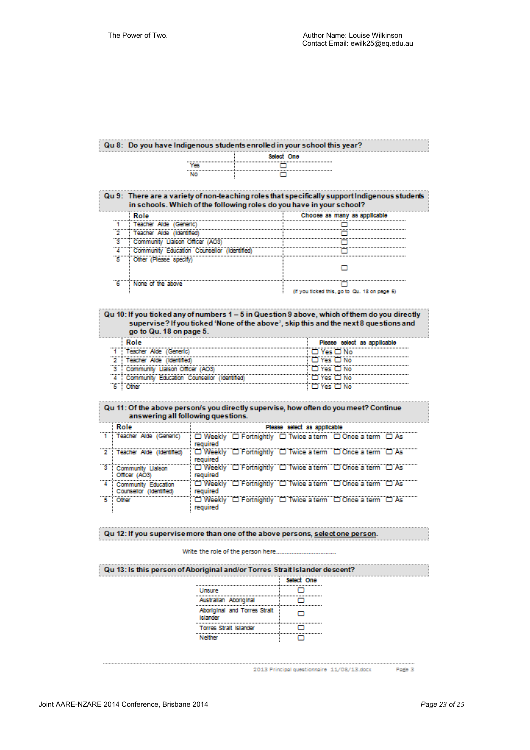#### Qu 8: Do you have Indigenous students enrolled in your school this year?



| Qu 9: There are a variety of non-teaching roles that specifically support Indigenous students<br>in schools. Which of the following roles do you have in your school? |                                              |
|-----------------------------------------------------------------------------------------------------------------------------------------------------------------------|----------------------------------------------|
| Role                                                                                                                                                                  | Choose as many as applicable                 |
| Teacher Alde (Generic)                                                                                                                                                |                                              |
| <b>Teacher Alde (Identified)</b>                                                                                                                                      |                                              |
| Community Liaison Officer (AOS)                                                                                                                                       |                                              |
| Community Education Counsellor (Identified                                                                                                                            |                                              |
| Other (Please specify)                                                                                                                                                |                                              |
|                                                                                                                                                                       |                                              |
| None of the above                                                                                                                                                     |                                              |
|                                                                                                                                                                       | (if you ticked this, go to Qu. 18 on page 5) |

#### Qu 10: If you ticked any of numbers 1 - 5 in Question 9 above, which of them do you directly supervise? If you ticked 'None of the above', skip this and the next 8 questions and go to Qu. 18 on page 5.

| : Role                                        | Please select as applicable |
|-----------------------------------------------|-----------------------------|
| Teacher Alde (Generic)                        | ⊟ Yes ⊡ No                  |
| 2 : Teacher Alde (Identified)                 | <b>TIVes ITING</b>          |
| 3 : Community Liaison Officer (AO3)           | <b>D</b> Yes L I No         |
| 4 Community Education Counsellor (Identified) | Yes: FT No.                 |
|                                               | Vae I                       |

# Qu 11: Of the above person/s you directly supervise, how often do you meet? Continue<br>answering all following questions.

| Role                                             | Please select as applicable                                          |
|--------------------------------------------------|----------------------------------------------------------------------|
| 1 Teacher Alde (Generic)                         | □ Weekly □ Fortnightly □ Twice a term □ Once a term □ As<br>reauired |
| 2 Teacher Alde (Identified)                      | O Weekly O Fortnightly O Twice a term O Once a term O As<br>reauired |
| 3 Community Liaison<br>Officer (AOS)             | U Weekly U Fortnightly U Twice a term U Once a term U As<br>required |
| 4 Community Education<br>Counsellor (Identified) | D Weekly D Fortnightly D Twice a term D Once a term D As<br>reauired |
| 5 Other                                          | O Weekly O'Fortnightly O'Twice a term O'Once a term O'As<br>required |

#### Qu 12: If you supervise more than one of the above persons, select one person.

#### Write the role of the person here.................

|                                                 | Select One |
|-------------------------------------------------|------------|
| Unsure                                          |            |
| Australian Aboriginal                           |            |
| Aboriginal and Torres Strait<br><b>Bilander</b> |            |
| <b>Torres Strait Islander</b>                   |            |
| Nelfher                                         |            |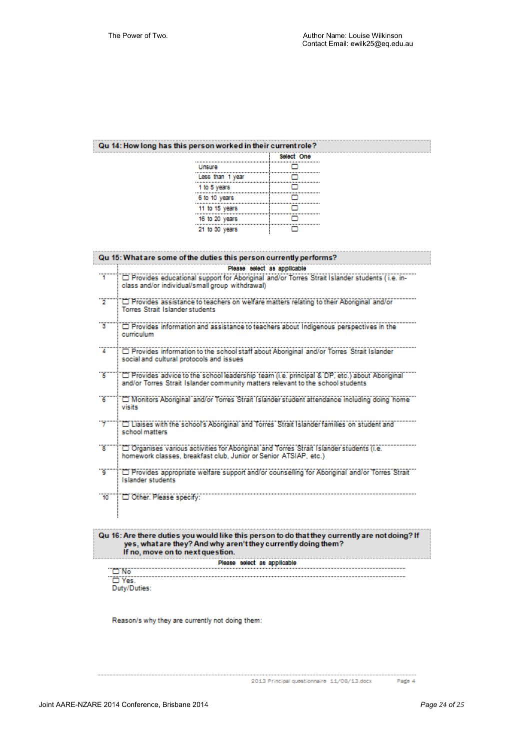#### Qu 14: How long has this person worked in their current role?

|                  | Select One |
|------------------|------------|
| Unsure           | - 1        |
| Less than 1 year |            |
| 1 to 5 years     |            |
| 6 to 10 years    |            |
| 11 to 15 years   |            |
| 16 to 20 years   | п          |
| 21 to 30 years   |            |

|           | Qu 15: What are some of the duties this person currently performs?                                                                                                                |
|-----------|-----------------------------------------------------------------------------------------------------------------------------------------------------------------------------------|
|           | Please select as applicable<br>Provides educational support for Aboriginal and/or Torres Strait Islander students (i.e. in-<br>class and/or individual/small group withdrawal)    |
|           | <sup>2</sup> Provides assistance to teachers on welfare matters relating to their Aboriginal and/or<br><b>Torres Strait Islander students</b>                                     |
|           | <sup>3</sup> <sup>2</sup> Provides information and assistance to teachers about Indigenous perspectives in the<br>curriculum                                                      |
|           | Provides information to the school staff about Aboriginal and/or Torres Strait Islander<br>social and cultural protocols and issues                                               |
|           | The Provides advice to the school leadership team (i.e. principal & DP, etc.) about Aboriginal<br>and/or Torres Strait Islander community matters relevant to the school students |
|           | 6 T Monitors Aboriginal and/or Torres Strait Islander student attendance including doing home<br>visits                                                                           |
|           | Tuaises with the school's Aboriginal and Torres Strait Islander families on student and<br>school matters.                                                                        |
| <b>18</b> | Organises various activities for Aboriginal and Torres Strait Islander students (i.e.<br>homework classes, breakfast club, Junior or Senior ATSIAP, etc.)                         |
|           | "Provides appropriate welfare support and/or counselling for Aboriginal and/or Torres Strait"<br>Islander students                                                                |
|           | 10   Other. Please specify:                                                                                                                                                       |

## Qu 16: Are there duties you would like this person to do that they currently are not doing? If yes, what are they? And why aren't they currently doing them?<br>If no, move on to next question.

Please select as applicable ..............................

 $\fbox{\begin{tabular}{|c|c|} \hline $\fbox{\scriptsize$\fbox{\scriptsize$\fbox{\scriptsize$\fbox{\scriptsize$\fbox{\scriptsize$\fbox{\scriptsize$\fbox{\scriptsize$\fbox{\scriptsize$\fbox{\scriptsize$\fbox{\scriptsize$\fbox{\scriptsize$\fbox{\scriptsize$\fbox{\scriptsize$\fbox{\scriptsize$\fbox{\scriptsize$\fbox{\scriptsize$\fbox{\scriptsize$\fbox{\scriptsize$\fbox{\scriptsize$\fbox{\scriptsize$\fbox{\scriptsize$\fbox{\scriptsize$\fbox{\scriptsize$\fbox{\scriptsize$\fbox{\scriptsize$\fbox{\scriptsize$\fbox{\scriptsize$\fbox{\scriptsize$\fbox{\scriptsize$\fbox{\scriptsize$\fbox{\scriptsize$\fbox{\scriptsize$\fbox{\scriptsize$\fbox{\script$ 

Reason/s why they are currently not doing them: